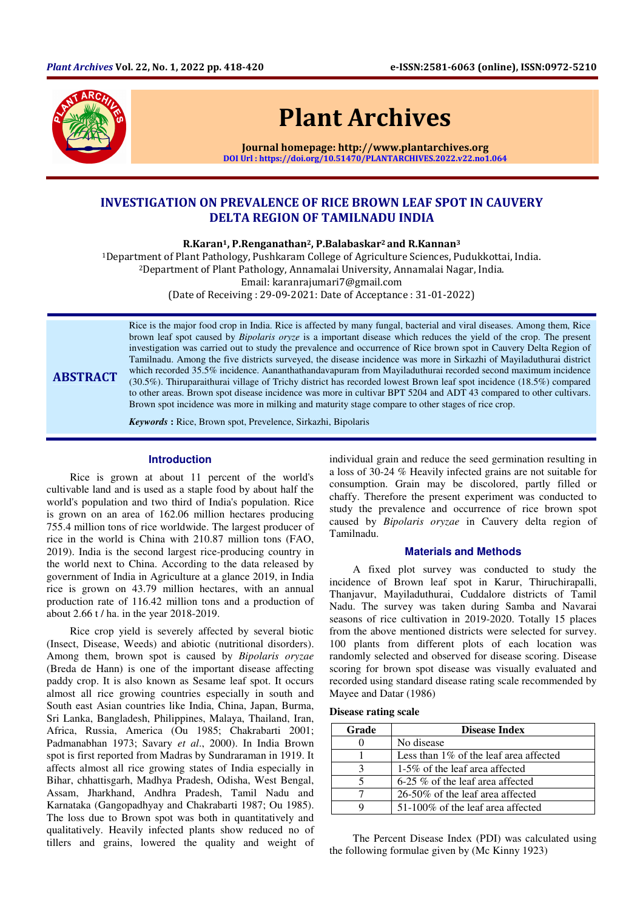

# Plant Archives

Journal homepage: http://www.plantarchives.org DOI Url : https://doi.org/10.51470/PLANTARCHIVES.2022.v22.no1.064

## INVESTIGATION ON PREVALENCE OF RICE BROWN LEAF SPOT IN CAUVERY DELTA REGION OF TAMILNADU INDIA

R.Karan1, P.Renganathan2, P.Balabaskar2 and R.Kannan<sup>3</sup>

<sup>1</sup>Department of Plant Pathology, Pushkaram College of Agriculture Sciences, Pudukkottai, India. <sup>2</sup>Department of Plant Pathology, Annamalai University, Annamalai Nagar, India.

Email: karanrajumari7@gmail.com

(Date of Receiving : 29-09-2021: Date of Acceptance : 31-01-2022)

ABSTRACT Rice is the major food crop in India. Rice is affected by many fungal, bacterial and viral diseases. Among them, Rice brown leaf spot caused by *Bipolaris oryze* is a important disease which reduces the yield of the crop. The present investigation was carried out to study the prevalence and occurrence of Rice brown spot in Cauvery Delta Region of Tamilnadu. Among the five districts surveyed, the disease incidence was more in Sirkazhi of Mayiladuthurai district which recorded 35.5% incidence. Aananthathandavapuram from Mayiladuthurai recorded second maximum incidence (30.5%). Thiruparaithurai village of Trichy district has recorded lowest Brown leaf spot incidence (18.5%) compared to other areas. Brown spot disease incidence was more in cultivar BPT 5204 and ADT 43 compared to other cultivars. Brown spot incidence was more in milking and maturity stage compare to other stages of rice crop.

*Keywords* **:** Rice, Brown spot, Prevelence, Sirkazhi, Bipolaris

### **Introduction**

Rice is grown at about 11 percent of the world's cultivable land and is used as a staple food by about half the world's population and two third of India's population. Rice is grown on an area of 162.06 million hectares producing 755.4 million tons of rice worldwide. The largest producer of rice in the world is China with 210.87 million tons (FAO, 2019). India is the second largest rice-producing country in the world next to China. According to the data released by government of India in Agriculture at a glance 2019, in India rice is grown on 43.79 million hectares, with an annual production rate of 116.42 million tons and a production of about 2.66 t / ha. in the year 2018-2019.

Rice crop yield is severely affected by several biotic (Insect, Disease, Weeds) and abiotic (nutritional disorders). Among them, brown spot is caused by *Bipolaris oryzae*  (Breda de Hann) is one of the important disease affecting paddy crop. It is also known as Sesame leaf spot. It occurs almost all rice growing countries especially in south and South east Asian countries like India, China, Japan, Burma, Sri Lanka, Bangladesh, Philippines, Malaya, Thailand, Iran, Africa, Russia, America (Ou 1985; Chakrabarti 2001; Padmanabhan 1973; Savary *et al*., 2000). In India Brown spot is first reported from Madras by Sundraraman in 1919. It affects almost all rice growing states of India especially in Bihar, chhattisgarh, Madhya Pradesh, Odisha, West Bengal, Assam, Jharkhand, Andhra Pradesh, Tamil Nadu and Karnataka (Gangopadhyay and Chakrabarti 1987; Ou 1985). The loss due to Brown spot was both in quantitatively and qualitatively. Heavily infected plants show reduced no of tillers and grains, lowered the quality and weight of individual grain and reduce the seed germination resulting in a loss of 30-24 % Heavily infected grains are not suitable for consumption. Grain may be discolored, partly filled or chaffy. Therefore the present experiment was conducted to study the prevalence and occurrence of rice brown spot caused by *Bipolaris oryzae* in Cauvery delta region of Tamilnadu.

### **Materials and Methods**

A fixed plot survey was conducted to study the incidence of Brown leaf spot in Karur, Thiruchirapalli, Thanjavur, Mayiladuthurai, Cuddalore districts of Tamil Nadu. The survey was taken during Samba and Navarai seasons of rice cultivation in 2019-2020. Totally 15 places from the above mentioned districts were selected for survey. 100 plants from different plots of each location was randomly selected and observed for disease scoring. Disease scoring for brown spot disease was visually evaluated and recorded using standard disease rating scale recommended by Mayee and Datar (1986)

### **Disease rating scale**

| Grade | <b>Disease Index</b>                      |  |  |  |
|-------|-------------------------------------------|--|--|--|
|       | No disease                                |  |  |  |
|       | Less than $1\%$ of the leaf area affected |  |  |  |
|       | 1-5% of the leaf area affected            |  |  |  |
|       | $6-25\%$ of the leaf area affected        |  |  |  |
|       | $26-50\%$ of the leaf area affected       |  |  |  |
|       | 51-100% of the leaf area affected         |  |  |  |

The Percent Disease Index (PDI) was calculated using the following formulae given by (Mc Kinny 1923)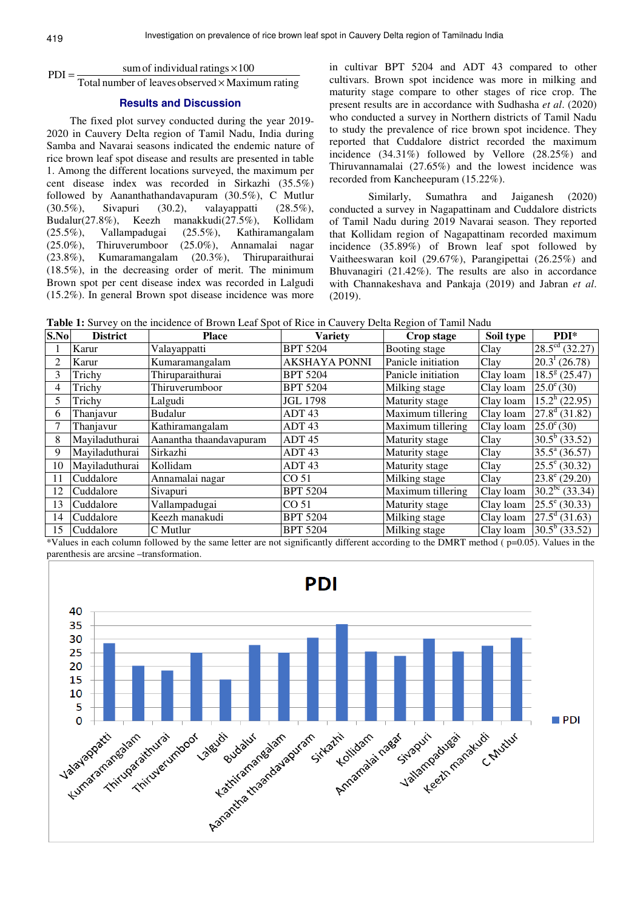# $PDI = \frac{\text{sum of individual ratings} \times 100}{T}$

#### Total number of leaves observed  $\times$  Maximum rating  $PDI =$

### **Results and Discussion**

The fixed plot survey conducted during the year 2019- 2020 in Cauvery Delta region of Tamil Nadu, India during Samba and Navarai seasons indicated the endemic nature of rice brown leaf spot disease and results are presented in table 1. Among the different locations surveyed, the maximum per cent disease index was recorded in Sirkazhi (35.5%) followed by Aananthathandavapuram (30.5%), C Mutlur (30.5%), Sivapuri (30.2), valayappatti (28.5%), Budalur(27.8%), Keezh manakkudi(27.5%), Kollidam (25.5%), Vallampadugai (25.5%), Kathiramangalam (25.0%), Thiruverumboor (25.0%), Annamalai nagar (23.8%), Kumaramangalam (20.3%), Thiruparaithurai (18.5%), in the decreasing order of merit. The minimum Brown spot per cent disease index was recorded in Lalgudi (15.2%). In general Brown spot disease incidence was more in cultivar BPT 5204 and ADT 43 compared to other cultivars. Brown spot incidence was more in milking and maturity stage compare to other stages of rice crop. The present results are in accordance with Sudhasha *et al*. (2020) who conducted a survey in Northern districts of Tamil Nadu to study the prevalence of rice brown spot incidence. They reported that Cuddalore district recorded the maximum incidence (34.31%) followed by Vellore (28.25%) and Thiruvannamalai (27.65%) and the lowest incidence was recorded from Kancheepuram (15.22%).

 Similarly, Sumathra and Jaiganesh (2020) conducted a survey in Nagapattinam and Cuddalore districts of Tamil Nadu during 2019 Navarai season. They reported that Kollidam region of Nagapattinam recorded maximum incidence (35.89%) of Brown leaf spot followed by Vaitheeswaran koil (29.67%), Parangipettai (26.25%) and Bhuvanagiri (21.42%). The results are also in accordance with Channakeshava and Pankaja (2019) and Jabran *et al*. (2019).

**Table 1:** Survey on the incidence of Brown Leaf Spot of Rice in Cauvery Delta Region of Tamil Nadu

| S.No | <b>District</b> | <b>Place</b>            | <b>Variety</b>       | Crop stage         | Soil type | $PDI*$                      |
|------|-----------------|-------------------------|----------------------|--------------------|-----------|-----------------------------|
|      | Karur           | Valayappatti            | <b>BPT 5204</b>      | Booting stage      | Clay      | $28.5^{\text{cd}}$ (32.27)  |
| 2    | Karur           | Kumaramangalam          | <b>AKSHAYA PONNI</b> | Panicle initiation | Clay      | $20.3^{\mathrm{t}}$ (26.78) |
| 3    | Trichy          | Thiruparaithurai        | <b>BPT 5204</b>      | Panicle initiation | Clay loam | $18.5^{8}$ (25.47)          |
| 4    | Trichy          | Thiruverumboor          | <b>BPT 5204</b>      | Milking stage      | Clay loam | $25.0^{\circ}$ (30)         |
| 5.   | Trichy          | Lalgudi                 | <b>JGL 1798</b>      | Maturity stage     | Clay loam | $15.2^{\rm h}$ (22.95)      |
| 6    | Thanjavur       | <b>Budalur</b>          | ADT <sub>43</sub>    | Maximum tillering  | Clay loam | $27.8^d$ (31.82)            |
|      | Thanjavur       | Kathiramangalam         | ADT <sub>43</sub>    | Maximum tillering  | Clay loam | $25.0^{\circ}$ (30)         |
| 8    | Mayiladuthurai  | Aanantha thaandavapuram | ADT <sub>45</sub>    | Maturity stage     | Clay      | $30.5^b$ (33.52)            |
| 9    | Mayiladuthurai  | Sirkazhi                | ADT <sub>43</sub>    | Maturity stage     | Clay      | $35.5^{\mathrm{a}}$ (36.57) |
| 10   | Mayiladuthurai  | Kollidam                | ADT <sub>43</sub>    | Maturity stage     | Clay      | $25.5^{\circ}$ (30.32)      |
| 11   | Cuddalore       | Annamalai nagar         | CO <sub>51</sub>     | Milking stage      | Clay      | $23.8^{\circ}$ (29.20)      |
| 12   | Cuddalore       | Sivapuri                | <b>BPT 5204</b>      | Maximum tillering  | Clay loam | $30.2^{bc}$ (33.34)         |
| 13   | Cuddalore       | Vallampadugai           | CO <sub>51</sub>     | Maturity stage     | Clay loam | $25.5^{\circ}$ (30.33)      |
| 14   | Cuddalore       | Keezh manakudi          | <b>BPT 5204</b>      | Milking stage      | Clay loam | $27.5^{\text{d}}(31.63)$    |
| 15   | Cuddalore       | C Mutlur                | <b>BPT 5204</b>      | Milking stage      | Clay loam | $30.5^b$ (33.52)            |

\*Values in each column followed by the same letter are not significantly different according to the DMRT method ( p=0.05). Values in the parenthesis are arcsine –transformation.